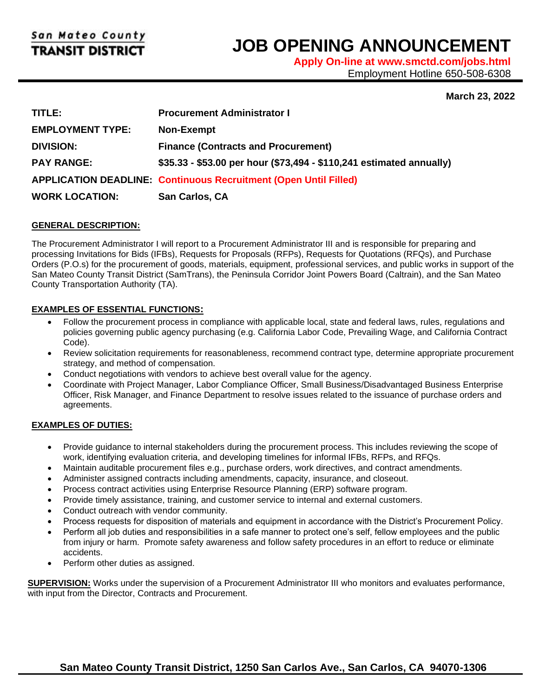l

# **JOB OPENING ANNOUNCEMENT**

**Apply On-line at www.smctd.com/jobs.html** Employment Hotline 650-508-6308

## **March 23, 2022**

| TITLE:                  | <b>Procurement Administrator I</b>                                      |
|-------------------------|-------------------------------------------------------------------------|
| <b>EMPLOYMENT TYPE:</b> | <b>Non-Exempt</b>                                                       |
| <b>DIVISION:</b>        | <b>Finance (Contracts and Procurement)</b>                              |
| <b>PAY RANGE:</b>       | \$35.33 - \$53.00 per hour (\$73,494 - \$110,241 estimated annually)    |
|                         | <b>APPLICATION DEADLINE: Continuous Recruitment (Open Until Filled)</b> |
| <b>WORK LOCATION:</b>   | San Carlos, CA                                                          |

### **GENERAL DESCRIPTION:**

The Procurement Administrator I will report to a Procurement Administrator III and is responsible for preparing and processing Invitations for Bids (IFBs), Requests for Proposals (RFPs), Requests for Quotations (RFQs), and Purchase Orders (P.O.s) for the procurement of goods, materials, equipment, professional services, and public works in support of the San Mateo County Transit District (SamTrans), the Peninsula Corridor Joint Powers Board (Caltrain), and the San Mateo County Transportation Authority (TA).

### **EXAMPLES OF ESSENTIAL FUNCTIONS:**

- Follow the procurement process in compliance with applicable local, state and federal laws, rules, regulations and policies governing public agency purchasing (e.g. California Labor Code, Prevailing Wage, and California Contract Code).
- Review solicitation requirements for reasonableness, recommend contract type, determine appropriate procurement strategy, and method of compensation.
- Conduct negotiations with vendors to achieve best overall value for the agency.
- Coordinate with Project Manager, Labor Compliance Officer, Small Business/Disadvantaged Business Enterprise Officer, Risk Manager, and Finance Department to resolve issues related to the issuance of purchase orders and agreements.

## **EXAMPLES OF DUTIES:**

- Provide guidance to internal stakeholders during the procurement process. This includes reviewing the scope of work, identifying evaluation criteria, and developing timelines for informal IFBs, RFPs, and RFQs.
- Maintain auditable procurement files e.g., purchase orders, work directives, and contract amendments.
- Administer assigned contracts including amendments, capacity, insurance, and closeout.
- Process contract activities using Enterprise Resource Planning (ERP) software program.
- Provide timely assistance, training, and customer service to internal and external customers.
- Conduct outreach with vendor community.
- Process requests for disposition of materials and equipment in accordance with the District's Procurement Policy.
- Perform all job duties and responsibilities in a safe manner to protect one's self, fellow employees and the public from injury or harm. Promote safety awareness and follow safety procedures in an effort to reduce or eliminate accidents.
- Perform other duties as assigned.

**SUPERVISION:** Works under the supervision of a Procurement Administrator III who monitors and evaluates performance, with input from the Director, Contracts and Procurement.